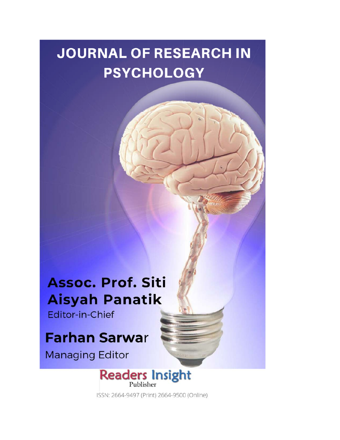## **JOURNAL OF RESEARCH IN PSYCHOLOGY**

## Assoc. Prof. Siti **Aisyah Panatik**

Editor-in-Chief

## **Farhan Sarwar**

**Managing Editor** 



ISSN: 2664-9497 (Print) 2664-9500 (Online)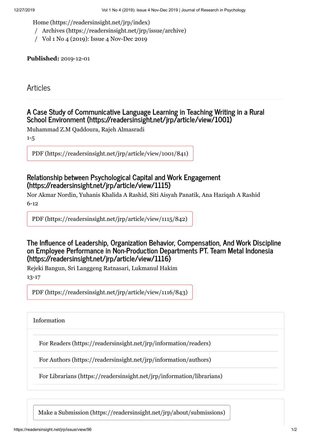[Home \(https://readersinsight.net/jrp/index\)](https://readersinsight.net/jrp/index)

- / [Archives \(https://readersinsight.net/jrp/issue/archive\)](https://readersinsight.net/jrp/issue/archive)
- / Vol 1 No 4 (2019): Issue 4 Nov-Dec 2019

**Published:** 2019-12-01

Articles

## **[A Case Study of Communicative Language Learning in Teaching Writing in a Rural](https://readersinsight.net/jrp/article/view/1001) School Environment (https://readersinsight.net/jrp/article/view/1001)**

Muhammad Z.M Qaddoura, Rajeh Almasradi

1-5

[PDF \(https://readersinsight.net/jrp/article/view/1001/841\)](https://readersinsight.net/jrp/article/view/1001/841)

## **[Relationship between Psychological Capital and Work Engagement](https://readersinsight.net/jrp/article/view/1115) (https://readersinsight.net/jrp/article/view/1115)**

Nor Akmar Nordin, Yuhanis Khalida A Rashid, Siti Aisyah Panatik, Ana Haziqah A Rashid 6-12

[PDF \(https://readersinsight.net/jrp/article/view/1115/842\)](https://readersinsight.net/jrp/article/view/1115/842)

### **The Influence of Leadership, Organization Behavior, Compensation, And Work Discipline on Employee Performance in Non-Production Departments PT. Team Metal Indonesia (https://readersinsight.net/jrp/article/view/1116)**

Rejeki Bangun, Sri Langgeng Ratnasari, Lukmanul Hakim 13-17

[PDF \(https://readersinsight.net/jrp/article/view/1116/843\)](https://readersinsight.net/jrp/article/view/1116/843)

Information

[For Readers \(https://readersinsight.net/jrp/information/readers\)](https://readersinsight.net/jrp/information/readers)

[For Authors \(https://readersinsight.net/jrp/information/authors\)](https://readersinsight.net/jrp/information/authors)

[For Librarians \(https://readersinsight.net/jrp/information/librarians\)](https://readersinsight.net/jrp/information/librarians)

[Make a Submission \(https://readersinsight.net/jrp/about/submissions\)](https://readersinsight.net/jrp/about/submissions)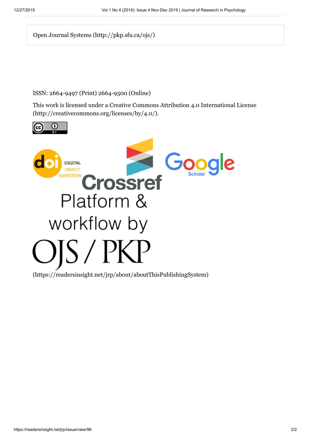[Open Journal Systems \(http://pkp.sfu.ca/ojs/\)](http://pkp.sfu.ca/ojs/)

### ISSN: 2664-9497 (Print) 2664-9500 (Online)

[This work is licensed under a Creative Commons Attribution 4.0 International License](http://creativecommons.org/licenses/by/4.0/) (http://creativecommons.org/licenses/by/4.0/).



[\(https://readersinsight.net/jrp/about/aboutThisPublishingSystem\)](https://readersinsight.net/jrp/about/aboutThisPublishingSystem)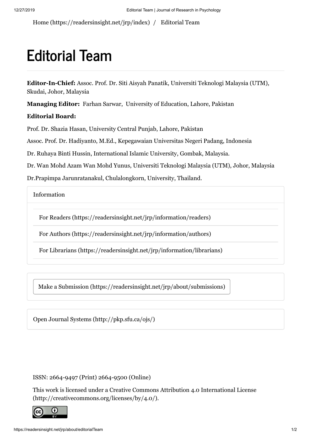[Home \(https://readersinsight.net/jrp/index\)](https://readersinsight.net/jrp/index) / Editorial Team

# **Editorial Team**

**Editor-In-Chief:** Assoc. Prof. Dr. Siti Aisyah Panatik, Universiti Teknologi Malaysia (UTM), Skudai, Johor, Malaysia

**Managing Editor:** Farhan Sarwar, University of Education, Lahore, Pakistan

### **Editorial Board:**

Prof. Dr. Shazia Hasan, University Central Punjab, Lahore, Pakistan

Assoc. Prof. Dr. Hadiyanto, M.Ed., Kepegawaian Universitas Negeri Padang, Indonesia

Dr. Ruhaya Binti Hussin, International Islamic University, Gombak, Malaysia.

Dr. Wan Mohd Azam Wan Mohd Yunus, Universiti Teknologi Malaysia (UTM), Johor, Malaysia

Dr.Prapimpa Jarunratanakul, Chulalongkorn, University, Thailand.

Information

[For Readers \(https://readersinsight.net/jrp/information/readers\)](https://readersinsight.net/jrp/information/readers)

[For Authors \(https://readersinsight.net/jrp/information/authors\)](https://readersinsight.net/jrp/information/authors)

[For Librarians \(https://readersinsight.net/jrp/information/librarians\)](https://readersinsight.net/jrp/information/librarians)

[Make a Submission \(https://readersinsight.net/jrp/about/submissions\)](https://readersinsight.net/jrp/about/submissions)

[Open Journal Systems \(http://pkp.sfu.ca/ojs/\)](http://pkp.sfu.ca/ojs/)

ISSN: 2664-9497 (Print) 2664-9500 (Online)

[This work is licensed under a Creative Commons Attribution 4.0 International License](http://creativecommons.org/licenses/by/4.0/) (http://creativecommons.org/licenses/by/4.0/).

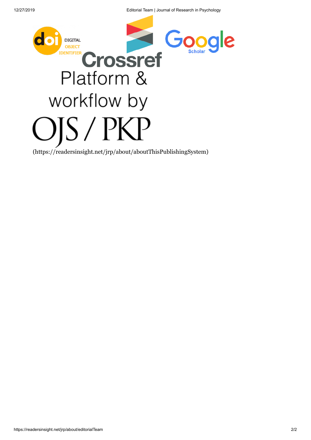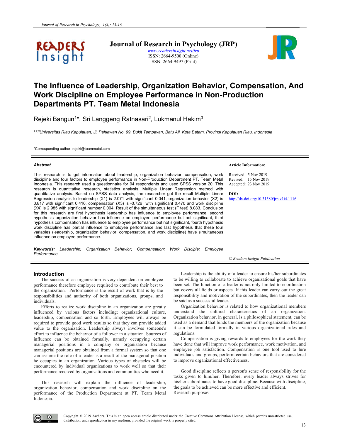

**Journal of Research in Psychology (JRP)** *www.readersinsight.net/jrp* ISSN: 2664-9500 (Online) ISSN: 2664-9497 (Print)



## **The Influence of Leadership, Organization Behavior, Compensation, And Work Discipline on Employee Performance in Non-Production Departments PT. Team Metal Indonesia**

Rejeki Bangun<sup>1\*</sup>, Sri Langgeng Ratnasari<sup>2</sup>, Lukmanul Hakim<sup>3</sup>

*1,2,3Universitas Riau Kepulauan, Jl. Pahlawan No. 99, Bukit Tempayan, Batu Aji, Kota Batam, Provinsi Kepulauan Riau, Indonesia* 

\*Corresponding author: rejeki@teammetal.com

#### *Abstract*

This research is to get information about leadership, organization behavior, compensation, work discipline and four factors to employee performance in Non-Production Department PT. Team Metal Indonesia. This research used a questionnaire for 94 respondents and used SPSS version 20. This research is quantitative research, statistics analysis. Multiple Linear Regression method with quantitative analysis. Based on SPSS data analysis, the researcher got the result Multiple Linear Regression analysis to leadership (X1) is 2.071 with significant 0.041, organization behavior (X2) is 0.817 with significant 0.416, compensation (X3) is -0.726 with significant 0.470 and work discipline (X4) is 2.985 with significant number 0.004. Result of the simultaneous test (F test) 8.083. Conclusion for this research are first hypothesis leadership has influence to employee performance, second hypothesis organization behavior has influence on employee performance but not significant, third hypothesis compensation has influence to employee performance but not significant, fourth hypothesis work discipline has partial influence to employee performance and last hypothesis that these four variables (leadership, organization behavior, compensation, and work discipline) have simultaneous influence on employee performance.

*Keywords: Leadership; Organization Behavior; Compensation; Work Disciple; Employee Performance*

#### **Article Information:**

Received: 5 Nov 2019 Revised: 15 Nov 2019 Accepted: 23 Nov 2019

**DOI:** http://dx.doi.org/10.31580/jrp.v1i4.1116

*© Readers Insight Publication*

#### **Introduction**

The success of an organization is very dependent on employee performance therefore employee required to contribute their best to the organization. Performance is the result of work that is by the responsibilities and authority of both organizations, groups, and individuals.

Efforts to realize work discipline in an organization are greatly influenced by various factors including; organizational culture, leadership, compensation and so forth. Employees will always be required to provide good work results so that they can provide added value to the organization. Leadership always involves someone's effort to influence the behavior of a follower in a situation. Sources of influence can be obtained formally, namely occupying certain managerial positions in a company or organization because managerial positions are obtained from a formal system so that one can assume the role of a leader is a result of the managerial position he occupies in an organization. Various types of obstacles will be encountered by individual organizations to work well so that their performance received by organizations and communities who need it.

This research will explain the influence of leadership, organization behavior, compensation and work discipline on the performance of the Production Department at PT. Team Metal Indonesia.

Leadership is the ability of a leader to ensure his/her subordinates to be willing to collaborate to achieve organizational goals that have been set. The function of a leader is not only limited to coordination but covers all fields or aspects. If this leader can carry out the great responsibility and motivation of the subordinates, then the leader can be said as a successful leader.

Organization behavior is related to how organizational members understand the cultural characteristics of an organization. Organization behavior, in general, is a philosophical statement, can be used as a demand that binds the members of the organization because it can be formulated formally in various organizational rules and regulations.

Compensation is giving rewards to employees for the work they have done that will improve work performance, work motivation, and employee job satisfaction. Compensation is one tool used to lure individuals and groups, perform certain behaviors that are considered to improve organizational effectiveness.

Good discipline reflects a person's sense of responsibility for the tasks given to him/her. Therefore, every leader always strives for his/her subordinates to have good discipline. Because with discipline, the goals to be achieved can be more effective and efficient. Research purposes

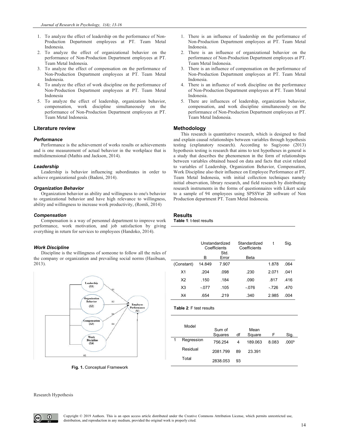- 1. To analyze the effect of leadership on the performance of Non-Production Department employees at PT. Team Metal Indonesia.
- 2. To analyze the effect of organizational behavior on the performance of Non-Production Department employees at PT. Team Metal Indonesia.
- 3. To analyze the effect of compensation on the performance of Non-Production Department employees at PT. Team Metal Indonesia.
- 4. To analyze the effect of work discipline on the performance of Non-Production Department employees at PT. Team Metal Indonesia
- 5. To analyze the effect of leadership, organization behavior, compensation, work discipline simultaneously on the performance of Non-Production Department employees at PT. Team Metal Indonesia.

#### **Literature review**

#### *Performance*

Performance is the achievement of works results or achievements and is one measurement of actual behavior in the workplace that is multidimensional (Mathis and Jackson, 2014).

#### *Leadership*

Leadership is behavior influencing subordinates in order to achieve organizational goals (Badeni, 2014).

#### *Organization Behavior*

Organization behavior as ability and willingness to one's behavior to organizational behavior and have high relevance to willingness, ability and willingness to increase work productivity, (Romli, 2014)

#### *Compensation*

Compensation is a way of personnel department to improve work performance, work motivation, and job satisfaction by giving everything in return for services to employees (Handoko, 2014).

#### *Work Discipline*

Discipline is the willingness of someone to follow all the rules of the company or organization and prevailing social norms (Hasibuan, 2013).



**Fig. 1.** Conceptual Framework

- 1. There is an influence of leadership on the performance of Non-Production Department employees at PT. Team Metal Indonesia.
- 2. There is an influence of organizational behavior on the performance of Non-Production Department employees at PT. Team Metal Indonesia.
- 3. There is an influence of compensation on the performance of Non-Production Department employees at PT. Team Metal Indonesia.
- There is an influence of work discipline on the performance of Non-Production Department employees at PT. Team Metal Indonesia.
- 5. There are influences of leadership, organization behavior, compensation, and work discipline simultaneously on the performance of Non-Production Department employees at PT. Team Metal Indonesia.

#### **Methodology**

This research is quantitative research, which is designed to find and explain causal relationships between variables through hypothesis testing (explanatory research). According to Sugiyono (2013) hypothesis testing is research that aims to test hypotheses in general is a study that describes the phenomenon in the form of relationships between variables obtained based on data and facts that exist related to variables of Leadership, Organization Behavior, Compensation, Work Discipline also their influence on Employee Performance at PT. Team Metal Indonesia, with initial collection techniques namely initial observation, library research, and field research by distributing research instruments in the forms of questionnaires with Likert scale to a sample of 94 employees using SPSSVer 20 software of Non Production department PT. Team Metal Indonesia.

### **Results**

**Table 1**: t-test results

|                | Unstandardized<br>Coefficients |               | Standardized<br>Coefficients | t     | Sig. |
|----------------|--------------------------------|---------------|------------------------------|-------|------|
|                | в                              | Std.<br>Error | Beta                         |       |      |
| (Constant)     | 14.849                         | 7.907         |                              | 1.878 | .064 |
| X1             | .204                           | .098          | .230                         | 2 071 | 041  |
| X <sub>2</sub> | .150                           | .184          | .090                         | 817   | 416  |
| X3             | $-.077$                        | .105          | $-076$                       | - 726 | 470  |
| X4             | .654                           | 219           | .340                         | 2.985 | .004 |

| <b>Table 2: F test results</b> |  |
|--------------------------------|--|
|--------------------------------|--|

| Model      |          |    |         |       |                   |
|------------|----------|----|---------|-------|-------------------|
|            | Sum of   |    | Mean    |       |                   |
|            | Squares  | df | Square  | F     | Sig.              |
| Regression | 756.254  | 4  | 189.063 | 8.083 | .000 <sup>b</sup> |
| Residual   | 2081.799 | 89 | 23.391  |       |                   |
| Total      | 2838.053 | 93 |         |       |                   |

Research Hypothesis

 $\left( i\right)$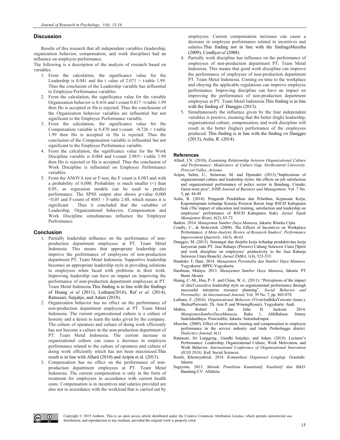#### **Discussion**

Results of this research that all independent variables (leadership, organization behavior, compensation, and work discipline) had an influence on employee performance.

The following is a description of the analysis of research based on variables.

- 1. From the calculation, the significance value for the Leadership is  $0.041$  and the t value of  $2.071 > t$ -table 1.99. Thus the conclusion of the Leadership variable has influential to Employee Performance variables.
- From the calculation, the significance value for the variable Organization behavior is 0.416 and t-count 0.817 <t-table 1.99 then Ho is accepted or Ha is rejected. Thus the conclusions of the Organization behavior variables are influential but not significant to the Employee Performance variable.
- 3. From the calculation, the significance value for the Compensation variable is  $0.470$  and t-count  $-0.726 \leq t$ -table 1.99 then Ho is accepted or Ha is rejected. Thus the conclusion of the Compensation variable is influential but not significant to the Employee Performance variable.
- 4. From the calculation, the significance value for the Work Discipline variable is 0.004 and t-count 2.985> t-table 1.99 then Ho is rejected or Ha is accepted. Thus the conclusion of Work Discipline is influential on Employee Performance variables.
- 5. From the ANOVA test or F-test, the F count is 8.083 and with a probability of 0,000. Probability is much smaller  $(\leq)$  than 0.05, so regression models can be used to predict performance. The SPSS output also shows p-value 0,000  $<$ 0,05 and F-count of 8083 > F-table 2.48, which means it is significant . Thus it concluded that the variables of Leadership, Organizational behavior, Compensation and Work Discipline simultaneous influence the Employee Performance.

#### **Conclusion**

- 1. Partially leadership influence on the performance of nonproduction department employees at PT. Team Metal Indonesia. This means that appropriate leadership can improve the performance of employees of non-production department PT. Team Metal Indonesia. Supportive leadership becomes an appropriate leadership style in providing solutions to employees when faced with problems in their work. Improving leadership can have an impact on improving the performance of non-production department employees at PT. Team Metal Indonesia.This finding is in line with the findings of Huang *et al* (2011), Luthans(2016), Raf *et al*. (2014), Ratnasari, Sutjahjo, and Adam (2018).
- 2. Organization behavior has no effect on the performance of non-production department employees at PT. Team Metal Indonesia. The current organizational culture is a culture of honesty and a desire to learn the tasks given by the company. The culture of openness and culture of doing work efficiently has not become a culture in the non-production department of PT. Team Metal Indonesia. The current increase in organizational culture can cause a decrease in employee performance related to the culture of openness and culture of doing work efficiently which has not been maximized.This result is in line with Allard (2010) and Aripin et al. (2013).
- 3. Compensation has no effect on the performance of nonproduction department employees at PT. Team Metal Indonesia. The current compensation is only in the form of treatment for employees in accordance with current health costs. Compensation is in incentives and salaries provided are also not in accordance with the workload that is carried out by

employees. Current compensation increases can cause a decrease in employee performance related to incentives and salaries.This finding not in line with the findingsMusriha (2009), Condly*at al* (2008).

- 4. Partially work discipline has influence on the performance of employees of non-production department PT. Team Metal Indonesia. This means that good work discipline can improve the performance of employees of non-production department PT. Team Metal Indonesia. Coming on time to the workplace and obeying the applicable regulations can improve employee performance. Improving discipline can have an impact on improving the performance of non-production department employees at PT. Team Metal Indonesia.This finding is in line with the finding of Dunggio (2013).
- 5. Simultaneously the influence given by the four independent variables is positive, meaning that the better (high) leadership, organizational culture, compensation, and work discipline will result in the better (higher) performance of the employees produced. This finding is in line with the finding on Dunggio (2013), Aulia, R. (2014).

#### **References**

- Allard, I.N. (2010), *Examining Relationship between Organizational Culture and Performance: Moderators of Culture Gap, Northcentral University, Prescott Valley, Arizona*.
- Aripin, Salim, U., Setiawan, M. and Djumahir (2013),"Implications of organizational culture and leadership styles: the effects on job satisfaction and organizational performance of police sector in Bandung, Cimahi, Garut-west java", *IOSR Journal of Business and Management*, Vol. 7 No. 5, pp. 44-49
- Aulia, R. (2014). Pengaruh Pendidikan dan Pelatihan, Kepuasan Kerja, Kepemimpinan terhadap Kinerja Perawat Rawat Inap RSUD Kabupaten Siak (The impact of education and training, satisfaction and leadership on employees' performance of RSUD Kabupaten Siak). *Jurnal Tepak Manajemen Bisnis*, 6(2), 63-72
- Badeni. 2014. *Manajemen Sumber Daya Manusia*, Jakarta: Rineka Cipta.
- Condly, C., & Stolovitch. (2008). The Effects of Incentives on Workplace Performance: *A Meta-Analytic Review of Research Studies1. Performance Improvement Quarterly*, 16(3), 46-63
- Dunggio, M. (2013). Semangat dan disiplin kerja terhadap produktivitas kerja karyawan pada PT. Jasa Raharja (Persero) Cabang Sulawesi Utara [Spirit and work discipline on employees' productivity in the Jasa Raharja Sulawesi Utara Branch]. *Jurnal EMBA*, 1(4), 523-533.
- Handoko T, Hani. 2014. *Manajemen Personalia dan Sumber Daya Manusia.* Yogyakarta: BPFE-Yogyakarta.
- Hasibuan, Malayu. 2013. *Manajemen Sumber Daya Manusia*, Jakarta: PT Bumi Aksara.
- Huang, C.-M., Hsu, P.-Y. and Chiau, W.-L. (2011), "Perceptions of the impact of chief executive leadership style on organizational performance through successful enterprise resource planning", *Social Behavior and Personality: An International Journal*, Vol. 39 No. 7, pp. 865-878.
- Luthans, F. (2016). *Organizational Behavior* (VivinAndhikaYuwono (trans.), ShekarPurwanti, Th. Arie P, and WinongRosari). Yogyakarta: Andi.
- Mathis, Robert L dan John H. Jackson. 2014.<br>ManajemenSumberDayaManusia. Buku 1, AlihBahasa: Jimmy *ManajemenSumberDayaManusia*. Buku 1, AlihBahasa: Jimmy SadelidanBayu. PrawiraHie, Jakarta: SalembaEmpat.
- Musriha. (2009). Effect of motivation, training and compensation to employee performance in the service industry and trade Probolinggo district. *Dialectics Journal*, 6(1)
- Ratnasari, Sri Langgeng., Gandhi Sutjahjo, and Adam. (2018). Lecturer's Performance: Leadership, Organizational Culture, Work Motivation, and Work Behavior. *International Conference of Organizational Innovation (ICOI 2018).* KnE Social Sciences.
- Romli, Khomsyahrial. 2014. *Komunikasi Organisasi Lengkap.* Grasindo*:*  Jakarta
- Sugiyono. 2013. *Metode Penelitian Kuantitatif, Kualitatif dan R&D.* Bandung:CV. Alfabeta.